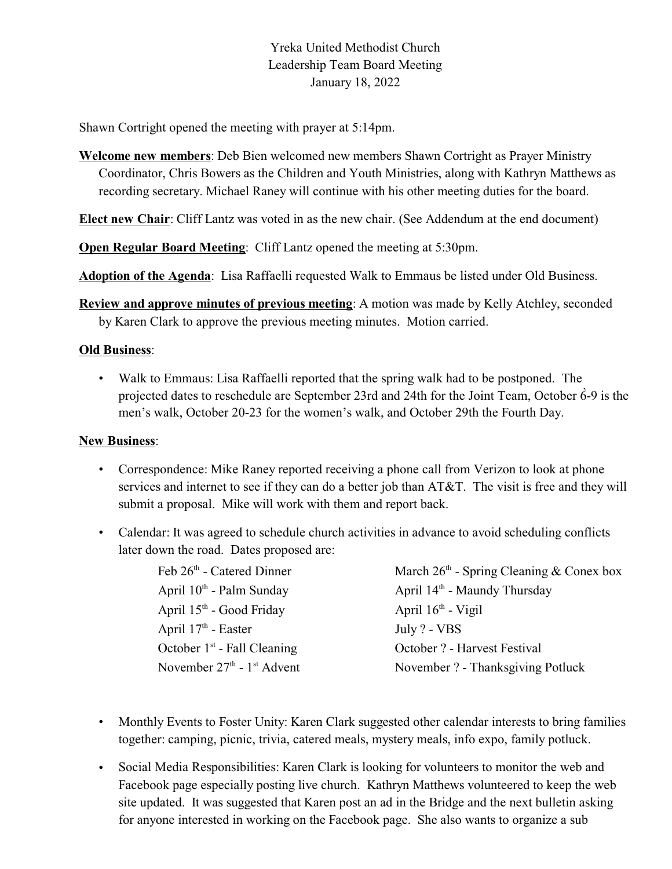# Yreka United Methodist Church Leadership Team Board Meeting January 18, 2022

Shawn Cortright opened the meeting with prayer at 5:14pm.

**Welcome new members**: Deb Bien welcomed new members Shawn Cortright as Prayer Ministry Coordinator, Chris Bowers as the Children and Youth Ministries, along with Kathryn Matthews as recording secretary. Michael Raney will continue with his other meeting duties for the board.

**Elect new Chair**: Cliff Lantz was voted in as the new chair. (See Addendum at the end document)

**Open Regular Board Meeting: Cliff Lantz opened the meeting at 5:30pm.** 

**Adoption of the Agenda**: Lisa Raffaelli requested Walk to Emmaus be listed under Old Business.

**Review and approve minutes of previous meeting**: A motion was made by Kelly Atchley, seconded by Karen Clark to approve the previous meeting minutes. Motion carried.

#### **Old Business**:

• Walk to Emmaus: Lisa Raffaelli reported that the spring walk had to be postponed. The projected dates to reschedule are September 23rd and 24th for the Joint Team, October  $\dot{6}$ -9 is the men's walk, October 20-23 for the women's walk, and October 29th the Fourth Day.

### **New Business**:

- Correspondence: Mike Raney reported receiving a phone call from Verizon to look at phone services and internet to see if they can do a better job than AT&T. The visit is free and they will submit a proposal. Mike will work with them and report back.
- Calendar: It was agreed to schedule church activities in advance to avoid scheduling conflicts later down the road. Dates proposed are:

| Feb 26th - Catered Dinner                | March $26th$ - Spring Cleaning & Conex box |
|------------------------------------------|--------------------------------------------|
| April $10^{th}$ - Palm Sunday            | April $14th$ - Maundy Thursday             |
| April $15th$ - Good Friday               | April $16th$ - Vigil                       |
| April $17th$ - Easter                    | July ? - VBS                               |
| October $1st$ - Fall Cleaning            | October ? - Harvest Festival               |
| November $27th$ - 1 <sup>st</sup> Advent | November ? - Thanksgiving Potluck          |

- Monthly Events to Foster Unity: Karen Clark suggested other calendar interests to bring families together: camping, picnic, trivia, catered meals, mystery meals, info expo, family potluck.
- Social Media Responsibilities: Karen Clark is looking for volunteers to monitor the web and Facebook page especially posting live church. Kathryn Matthews volunteered to keep the web site updated. It was suggested that Karen post an ad in the Bridge and the next bulletin asking for anyone interested in working on the Facebook page. She also wants to organize a sub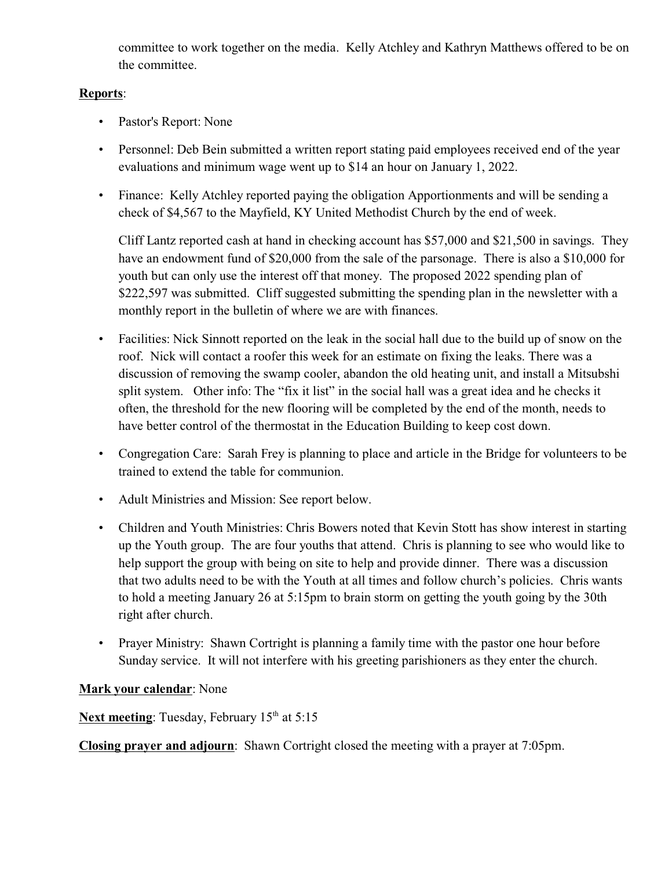committee to work together on the media. Kelly Atchley and Kathryn Matthews offered to be on the committee.

### **Reports**:

- Pastor's Report: None
- Personnel: Deb Bein submitted a written report stating paid employees received end of the year evaluations and minimum wage went up to \$14 an hour on January 1, 2022.
- Finance: Kelly Atchley reported paying the obligation Apportionments and will be sending a check of \$4,567 to the Mayfield, KY United Methodist Church by the end of week.

Cliff Lantz reported cash at hand in checking account has \$57,000 and \$21,500 in savings. They have an endowment fund of \$20,000 from the sale of the parsonage. There is also a \$10,000 for youth but can only use the interest off that money. The proposed 2022 spending plan of \$222,597 was submitted. Cliff suggested submitting the spending plan in the newsletter with a monthly report in the bulletin of where we are with finances.

- Facilities: Nick Sinnott reported on the leak in the social hall due to the build up of snow on the roof. Nick will contact a roofer this week for an estimate on fixing the leaks. There was a discussion of removing the swamp cooler, abandon the old heating unit, and install a Mitsubshi split system. Other info: The "fix it list" in the social hall was a great idea and he checks it often, the threshold for the new flooring will be completed by the end of the month, needs to have better control of the thermostat in the Education Building to keep cost down.
- Congregation Care: Sarah Frey is planning to place and article in the Bridge for volunteers to be trained to extend the table for communion.
- Adult Ministries and Mission: See report below.
- Children and Youth Ministries: Chris Bowers noted that Kevin Stott has show interest in starting up the Youth group. The are four youths that attend. Chris is planning to see who would like to help support the group with being on site to help and provide dinner. There was a discussion that two adults need to be with the Youth at all times and follow church's policies. Chris wants to hold a meeting January 26 at 5:15pm to brain storm on getting the youth going by the 30th right after church.
- Prayer Ministry: Shawn Cortright is planning a family time with the pastor one hour before Sunday service. It will not interfere with his greeting parishioners as they enter the church.

## **Mark your calendar**: None

Next meeting: Tuesday, February 15<sup>th</sup> at 5:15

**Closing prayer and adjourn**: Shawn Cortright closed the meeting with a prayer at 7:05pm.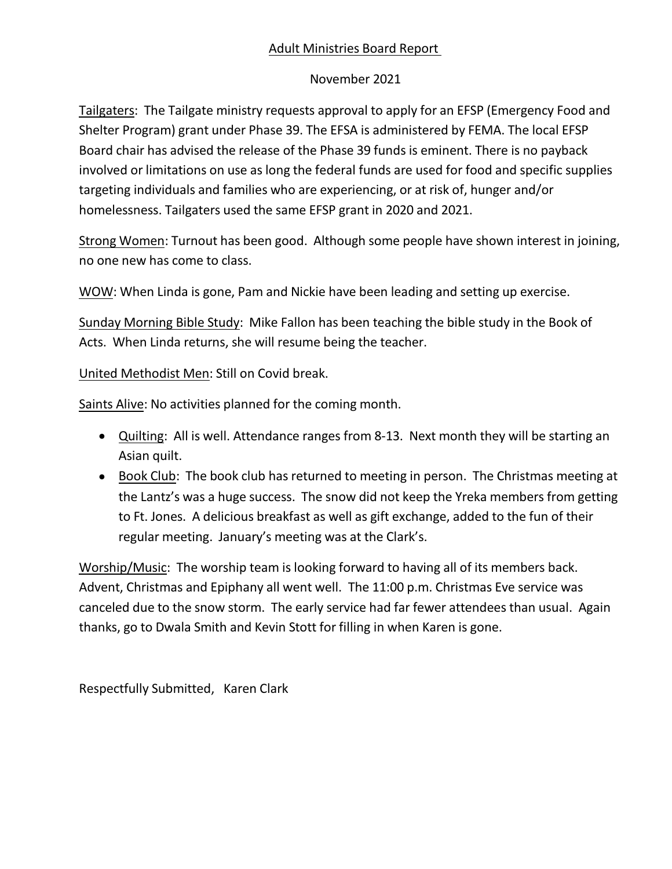# Adult Ministries Board Report

## November 2021

Tailgaters: The Tailgate ministry requests approval to apply for an EFSP (Emergency Food and Shelter Program) grant under Phase 39. The EFSA is administered by FEMA. The local EFSP Board chair has advised the release of the Phase 39 funds is eminent. There is no payback involved or limitations on use as long the federal funds are used for food and specific supplies targeting individuals and families who are experiencing, or at risk of, hunger and/or homelessness. Tailgaters used the same EFSP grant in 2020 and 2021.

Strong Women: Turnout has been good. Although some people have shown interest in joining, no one new has come to class.

WOW: When Linda is gone, Pam and Nickie have been leading and setting up exercise.

Sunday Morning Bible Study: Mike Fallon has been teaching the bible study in the Book of Acts. When Linda returns, she will resume being the teacher.

United Methodist Men: Still on Covid break.

Saints Alive: No activities planned for the coming month.

- · Quilting: All is well. Attendance ranges from 8-13. Next month they will be starting an Asian quilt.
- · Book Club: The book club has returned to meeting in person. The Christmas meeting at the Lantz's was a huge success. The snow did not keep the Yreka members from getting to Ft. Jones. A delicious breakfast as well as gift exchange, added to the fun of their regular meeting. January's meeting was at the Clark's.

Worship/Music: The worship team is looking forward to having all of its members back. Advent, Christmas and Epiphany all went well. The 11:00 p.m. Christmas Eve service was canceled due to the snow storm. The early service had far fewer attendees than usual. Again thanks, go to Dwala Smith and Kevin Stott for filling in when Karen is gone.

Respectfully Submitted, Karen Clark